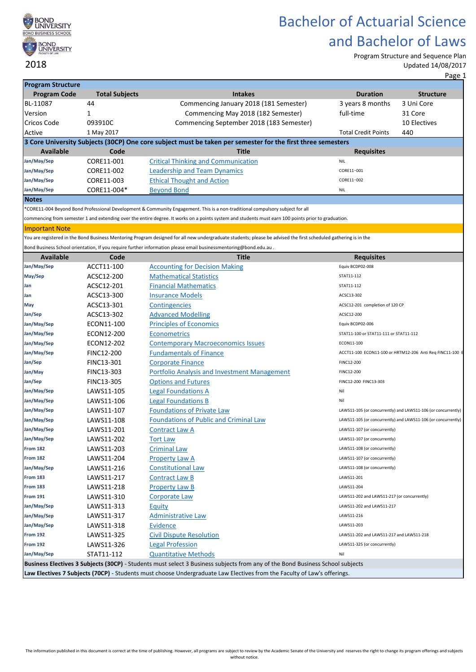

Program Structure and Sequence Plan Updated 14/08/2017

| <b>Program Structure</b> |                       |                                                                                                                                                                  |                                             |                                                               |
|--------------------------|-----------------------|------------------------------------------------------------------------------------------------------------------------------------------------------------------|---------------------------------------------|---------------------------------------------------------------|
| <b>Program Code</b>      | <b>Total Subjects</b> | <b>Intakes</b>                                                                                                                                                   | <b>Duration</b>                             | <b>Structure</b>                                              |
| BL-11087                 | 44                    | Commencing January 2018 (181 Semester)                                                                                                                           | 3 years 8 months                            | 3 Uni Core                                                    |
| Version                  | 1                     | Commencing May 2018 (182 Semester)                                                                                                                               | full-time                                   | 31 Core                                                       |
| <b>Cricos Code</b>       | 093910C               | Commencing September 2018 (183 Semester)                                                                                                                         |                                             | 10 Electives                                                  |
| Active                   | 1 May 2017            |                                                                                                                                                                  | <b>Total Credit Points</b>                  | 440                                                           |
|                          |                       | 3 Core University Subjects (30CP) One core subject must be taken per semester for the first three semesters                                                      |                                             |                                                               |
| <b>Available</b>         | Code                  | <b>Title</b>                                                                                                                                                     | <b>Requisites</b>                           |                                                               |
| Jan/May/Sep              | CORE11-001            | <b>Critical Thinking and Communication</b>                                                                                                                       | <b>NIL</b>                                  |                                                               |
| Jan/May/Sep              | CORE11-002            | <b>Leadership and Team Dynamics</b>                                                                                                                              | CORE11-001                                  |                                                               |
| Jan/May/Sep              | CORE11-003            | <b>Ethical Thought and Action</b>                                                                                                                                | CORE11-002                                  |                                                               |
| Jan/May/Sep              | CORE11-004*           | <b>Beyond Bond</b>                                                                                                                                               | <b>NIL</b>                                  |                                                               |
| <b>Notes</b>             |                       |                                                                                                                                                                  |                                             |                                                               |
|                          |                       | *CORE11-004 Beyond Bond Professional Development & Community Engagement. This is a non-traditional compulsory subject for all                                    |                                             |                                                               |
|                          |                       | commencing from semester 1 and extending over the entire degree. It works on a points system and students must earn 100 points prior to graduation.              |                                             |                                                               |
| <b>Important Note</b>    |                       |                                                                                                                                                                  |                                             |                                                               |
|                          |                       | You are registered in the Bond Business Mentoring Program designed for all new undergraduate students; please be advised the first scheduled gathering is in the |                                             |                                                               |
|                          |                       | Bond Business School orientation, If you require further information please email businessmentoring@bond.edu.au.                                                 |                                             |                                                               |
| <b>Available</b>         | Code                  | <b>Title</b>                                                                                                                                                     | <b>Requisites</b>                           |                                                               |
| Jan/May/Sep              | ACCT11-100            | <b>Accounting for Decision Making</b>                                                                                                                            | Equiv BCDP02-008                            |                                                               |
| May/Sep                  | ACSC12-200            | <b>Mathematical Statistics</b>                                                                                                                                   | STAT11-112                                  |                                                               |
| Jan                      | ACSC12-201            | <b>Financial Mathematics</b>                                                                                                                                     | STAT11-112                                  |                                                               |
| Jan                      | ACSC13-300            | <b>Insurance Models</b>                                                                                                                                          | ACSC13-302                                  |                                                               |
| May                      | ACSC13-301            | <b>Contingencies</b>                                                                                                                                             | ACSC12-201 completion of 120 CP             |                                                               |
| Jan/Sep                  | ACSC13-302            | <b>Advanced Modelling</b>                                                                                                                                        | ACSC12-200                                  |                                                               |
| Jan/May/Sep              | ECON11-100            | <b>Principles of Economics</b>                                                                                                                                   | Equiv BCDP02-006                            |                                                               |
| Jan/May/Sep              | ECON12-200            | <b>Econometrics</b>                                                                                                                                              | STAT11-100 or STAT11-111 or STAT11-112      |                                                               |
| Jan/May/Sep              | ECON12-202            | <b>Contemporary Macroeconomics Issues</b>                                                                                                                        | ECON11-100                                  |                                                               |
| Jan/May/Sep              | <b>FINC12-200</b>     | <b>Fundamentals of Finance</b>                                                                                                                                   |                                             | ACCT11-100 ECON11-100 or HRTM12-206 Anti Req FINC11-100 E     |
| Jan/Sep                  | FINC13-301            | <b>Corporate Finance</b>                                                                                                                                         | FINC12-200                                  |                                                               |
| Jan/May                  | FINC13-303            | Portfolio Analysis and Investment Management                                                                                                                     | FINC12-200                                  |                                                               |
| Jan/Sep                  | <b>FINC13-305</b>     | <b>Options and Futures</b>                                                                                                                                       | FINC12-200 FINC13-303                       |                                                               |
| Jan/May/Sep              | LAWS11-105            | <b>Legal Foundations A</b>                                                                                                                                       | Nil                                         |                                                               |
| Jan/May/Sep              | LAWS11-106            | <b>Legal Foundations B</b>                                                                                                                                       | Nil                                         |                                                               |
| Jan/May/Sep              | LAWS11-107            | <b>Foundations of Private Law</b>                                                                                                                                |                                             | LAWS11-105 (or concurrently) and LAWS11-106 (or concurrently) |
| Jan/May/Sep              | LAWS11-108            | <b>Foundations of Public and Criminal Law</b>                                                                                                                    |                                             | LAWS11-105 (or concurrently) and LAWS11-106 (or concurrently) |
| Jan/May/Sep              | LAWS11-201            | <b>Contract Law A</b>                                                                                                                                            | LAWS11-107 (or concurrently)                |                                                               |
| Jan/May/Sep              | LAWS11-202            | <b>Tort Law</b>                                                                                                                                                  | LAWS11-107 (or concurrently)                |                                                               |
| <b>From 182</b>          | LAWS11-203            | <b>Criminal Law</b>                                                                                                                                              | LAWS11-108 (or concurrently)                |                                                               |
| <b>From 182</b>          | LAWS11-204            | Property Law A                                                                                                                                                   | LAWS11-107 (or concurrently)                |                                                               |
| Jan/May/Sep              | LAWS11-216            | <b>Constitutional Law</b>                                                                                                                                        | LAWS11-108 (or concurrently)                |                                                               |
| <b>From 183</b>          | LAWS11-217            | <b>Contract Law B</b>                                                                                                                                            | LAWS11-201                                  |                                                               |
| From 183                 | LAWS11-218            | <b>Property Law B</b>                                                                                                                                            | LAWS11-204                                  |                                                               |
| <b>From 191</b>          | LAWS11-310            | Corporate Law                                                                                                                                                    | LAWS11-202 and LAWS11-217 (or concurrently) |                                                               |
| Jan/May/Sep              | LAWS11-313            | Equity                                                                                                                                                           | LAWS11-202 and LAWS11-217                   |                                                               |
| Jan/May/Sep              | LAWS11-317            | <b>Administrative Law</b>                                                                                                                                        | LAWS11-216                                  |                                                               |
| Jan/May/Sep              | LAWS11-318            | <b>Evidence</b>                                                                                                                                                  | LAWS11-203                                  |                                                               |
| <b>From 192</b>          | LAWS11-325            | <b>Civil Dispute Resolution</b>                                                                                                                                  | LAWS11-202 and LAWS11-217 and LAWS11-218    |                                                               |
| <b>From 192</b>          | LAWS11-326            | <b>Legal Profession</b>                                                                                                                                          | LAWS11-325 (or concurrently)                |                                                               |
| Jan/May/Sep              | STAT11-112            | <b>Quantitative Methods</b>                                                                                                                                      | Nil                                         |                                                               |
|                          |                       | Business Electives 3 Subjects (30CP) - Students must select 3 Business subjects from any of the Bond Business School subjects                                    |                                             |                                                               |
|                          |                       | Law Electives 7 Subjects (70CP) - Students must choose Undergraduate Law Electives from the Faculty of Law's offerings.                                          |                                             |                                                               |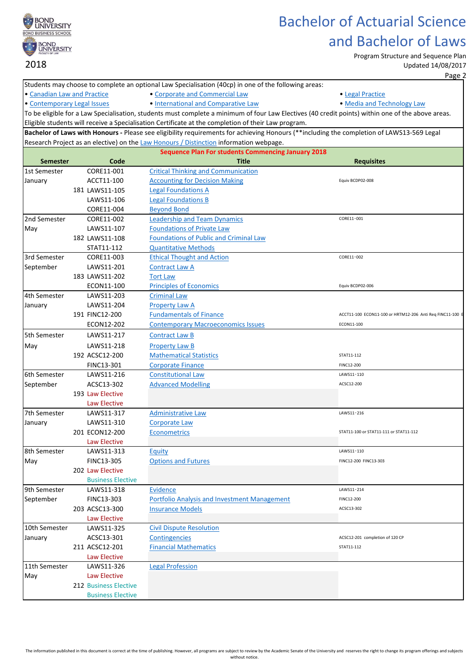

Program Structure and Sequence Plan Updated 14/08/2017

Page 2

|                                                           |  |                            | Students may choose to complete an optional Law Specialisation (40cp) in one of the following areas: |                                                                                                                                                   |  |  |
|-----------------------------------------------------------|--|----------------------------|------------------------------------------------------------------------------------------------------|---------------------------------------------------------------------------------------------------------------------------------------------------|--|--|
| • Canadian Law and Practice                               |  |                            | • Corporate and Commercial Law                                                                       | • Legal Practice                                                                                                                                  |  |  |
| • Contemporary Legal Issues                               |  |                            | · International and Comparative Law                                                                  | . Media and Technology Law                                                                                                                        |  |  |
|                                                           |  |                            |                                                                                                      | To be eligible for a Law Specialisation, students must complete a minimum of four Law Electives (40 credit points) within one of the above areas. |  |  |
|                                                           |  |                            | Eligible students will receive a Specialisation Certificate at the completion of their Law program.  |                                                                                                                                                   |  |  |
|                                                           |  |                            |                                                                                                      | Bachelor of Laws with Honours - Please see eligibility requirements for achieving Honours (**including the completion of LAWS13-569 Legal         |  |  |
|                                                           |  |                            | Research Project as an elective) on the Law Honours / Distinction information webpage.               |                                                                                                                                                   |  |  |
| <b>Sequence Plan For students Commencing January 2018</b> |  |                            |                                                                                                      |                                                                                                                                                   |  |  |
| <b>Semester</b>                                           |  | Code                       | Title                                                                                                | <b>Requisites</b>                                                                                                                                 |  |  |
| 1st Semester                                              |  | CORE11-001                 | <b>Critical Thinking and Communication</b>                                                           |                                                                                                                                                   |  |  |
| January                                                   |  | ACCT11-100                 | <b>Accounting for Decision Making</b>                                                                | Equiv BCDP02-008                                                                                                                                  |  |  |
|                                                           |  | 181 LAWS11-105             | <b>Legal Foundations A</b>                                                                           |                                                                                                                                                   |  |  |
|                                                           |  | LAWS11-106                 | <b>Legal Foundations B</b>                                                                           |                                                                                                                                                   |  |  |
|                                                           |  | CORE11-004                 | <b>Beyond Bond</b>                                                                                   |                                                                                                                                                   |  |  |
| 2nd Semester                                              |  | CORE11-002                 | <b>Leadership and Team Dynamics</b>                                                                  | CORE11-001                                                                                                                                        |  |  |
| May                                                       |  | LAWS11-107                 | <b>Foundations of Private Law</b>                                                                    |                                                                                                                                                   |  |  |
|                                                           |  | 182 LAWS11-108             | <b>Foundations of Public and Criminal Law</b>                                                        |                                                                                                                                                   |  |  |
|                                                           |  | STAT11-112                 | <b>Quantitative Methods</b>                                                                          |                                                                                                                                                   |  |  |
| 3rd Semester                                              |  | CORE11-003                 | <b>Ethical Thought and Action</b>                                                                    | CORE11-002                                                                                                                                        |  |  |
| September                                                 |  | LAWS11-201                 | <b>Contract Law A</b>                                                                                |                                                                                                                                                   |  |  |
|                                                           |  | 183 LAWS11-202             | <b>Tort Law</b>                                                                                      |                                                                                                                                                   |  |  |
|                                                           |  | ECON11-100                 | <b>Principles of Economics</b>                                                                       | Equiv BCDP02-006                                                                                                                                  |  |  |
| 4th Semester                                              |  | LAWS11-203                 | <b>Criminal Law</b>                                                                                  |                                                                                                                                                   |  |  |
| January                                                   |  | LAWS11-204                 | Property Law A                                                                                       |                                                                                                                                                   |  |  |
|                                                           |  | 191 FINC12-200             | <b>Fundamentals of Finance</b>                                                                       | ACCT11-100 ECON11-100 or HRTM12-206 Anti Req FINC11-100 E                                                                                         |  |  |
|                                                           |  | ECON12-202                 | <b>Contemporary Macroeconomics Issues</b>                                                            | ECON11-100                                                                                                                                        |  |  |
| 5th Semester                                              |  | LAWS11-217                 | <b>Contract Law B</b>                                                                                |                                                                                                                                                   |  |  |
|                                                           |  | LAWS11-218                 | <b>Property Law B</b>                                                                                |                                                                                                                                                   |  |  |
| May                                                       |  | 192 ACSC12-200             | <b>Mathematical Statistics</b>                                                                       | STAT11-112                                                                                                                                        |  |  |
|                                                           |  |                            |                                                                                                      | FINC12-200                                                                                                                                        |  |  |
| 6th Semester                                              |  | FINC13-301                 | <b>Corporate Finance</b>                                                                             | LAWS11-110                                                                                                                                        |  |  |
|                                                           |  | LAWS11-216<br>ACSC13-302   | <b>Constitutional Law</b><br><b>Advanced Modelling</b>                                               | ACSC12-200                                                                                                                                        |  |  |
| September                                                 |  | 193 Law Elective           |                                                                                                      |                                                                                                                                                   |  |  |
|                                                           |  | <b>Law Elective</b>        |                                                                                                      |                                                                                                                                                   |  |  |
| 7th Semester                                              |  | LAWS11-317                 | <b>Administrative Law</b>                                                                            | LAWS11-216                                                                                                                                        |  |  |
|                                                           |  | LAWS11-310                 | <b>Corporate Law</b>                                                                                 |                                                                                                                                                   |  |  |
| January                                                   |  | 201 ECON12-200             | <b>Econometrics</b>                                                                                  | STAT11-100 or STAT11-111 or STAT11-112                                                                                                            |  |  |
|                                                           |  |                            |                                                                                                      |                                                                                                                                                   |  |  |
| 8th Semester                                              |  | Law Elective<br>LAWS11-313 | Equity                                                                                               | LAWS11-110                                                                                                                                        |  |  |
| May                                                       |  | FINC13-305                 | <b>Options and Futures</b>                                                                           | FINC12-200 FINC13-303                                                                                                                             |  |  |
|                                                           |  | 202 Law Elective           |                                                                                                      |                                                                                                                                                   |  |  |
|                                                           |  | <b>Business Elective</b>   |                                                                                                      |                                                                                                                                                   |  |  |
| 9th Semester                                              |  | LAWS11-318                 | <b>Evidence</b>                                                                                      | LAWS11-214                                                                                                                                        |  |  |
| September                                                 |  | FINC13-303                 | <b>Portfolio Analysis and Investment Management</b>                                                  | FINC12-200                                                                                                                                        |  |  |
|                                                           |  | 203 ACSC13-300             | <b>Insurance Models</b>                                                                              | ACSC13-302                                                                                                                                        |  |  |
|                                                           |  | Law Elective               |                                                                                                      |                                                                                                                                                   |  |  |
| 10th Semester                                             |  | LAWS11-325                 | <b>Civil Dispute Resolution</b>                                                                      |                                                                                                                                                   |  |  |
|                                                           |  | ACSC13-301                 | <b>Contingencies</b>                                                                                 | ACSC12-201 completion of 120 CP                                                                                                                   |  |  |
| January                                                   |  | 211 ACSC12-201             | <b>Financial Mathematics</b>                                                                         | STAT11-112                                                                                                                                        |  |  |
|                                                           |  | Law Elective               |                                                                                                      |                                                                                                                                                   |  |  |
| 11th Semester                                             |  | LAWS11-326                 | <b>Legal Profession</b>                                                                              |                                                                                                                                                   |  |  |
|                                                           |  | Law Elective               |                                                                                                      |                                                                                                                                                   |  |  |
| May                                                       |  | 212 Business Elective      |                                                                                                      |                                                                                                                                                   |  |  |
|                                                           |  | <b>Business Elective</b>   |                                                                                                      |                                                                                                                                                   |  |  |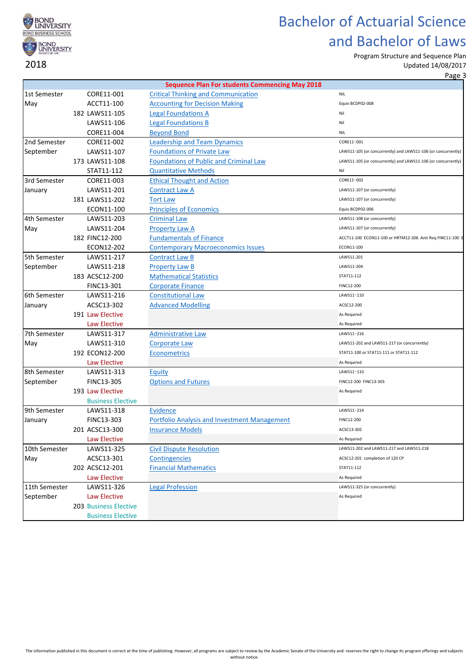

Program Structure and Sequence Plan

Updated 14/08/2017 Page 3

|               |                          | <b>Sequence Plan For students Commencing May 2018</b> |                                                               |
|---------------|--------------------------|-------------------------------------------------------|---------------------------------------------------------------|
| 1st Semester  | CORE11-001               | <b>Critical Thinking and Communication</b>            | <b>NIL</b>                                                    |
| May           | ACCT11-100               | <b>Accounting for Decision Making</b>                 | Equiv BCDP02-008                                              |
|               | 182 LAWS11-105           | <b>Legal Foundations A</b>                            | Nil                                                           |
|               | LAWS11-106               | <b>Legal Foundations B</b>                            | Nil                                                           |
|               | CORE11-004               | <b>Beyond Bond</b>                                    | <b>NIL</b>                                                    |
| 2nd Semester  | CORE11-002               | <b>Leadership and Team Dynamics</b>                   | CORE11-001                                                    |
| September     | LAWS11-107               | <b>Foundations of Private Law</b>                     | LAWS11-105 (or concurrently) and LAWS11-106 (or concurrently) |
|               | 173 LAWS11-108           | <b>Foundations of Public and Criminal Law</b>         | LAWS11-105 (or concurrently) and LAWS11-106 (or concurrently) |
|               | STAT11-112               | <b>Quantitative Methods</b>                           | Nil                                                           |
| 3rd Semester  | CORE11-003               | <b>Ethical Thought and Action</b>                     | CORE11-002                                                    |
| January       | LAWS11-201               | <b>Contract Law A</b>                                 | LAWS11-107 (or concurrently)                                  |
|               | 181 LAWS11-202           | <b>Tort Law</b>                                       | LAWS11-107 (or concurrently)                                  |
|               | ECON11-100               | <b>Principles of Economics</b>                        | Equiv BCDP02-006                                              |
| 4th Semester  | LAWS11-203               | <b>Criminal Law</b>                                   | LAWS11-108 (or concurrently)                                  |
| May           | LAWS11-204               | <b>Property Law A</b>                                 | LAWS11-107 (or concurrently)                                  |
|               | 182 FINC12-200           | <b>Fundamentals of Finance</b>                        | ACCT11-100 ECON11-100 or HRTM12-206 Anti Reg FINC11-100 E     |
|               | ECON12-202               | <b>Contemporary Macroeconomics Issues</b>             | ECON11-100                                                    |
| 5th Semester  | LAWS11-217               | <b>Contract Law B</b>                                 | LAWS11-201                                                    |
| September     | LAWS11-218               | <b>Property Law B</b>                                 | LAWS11-204                                                    |
|               | 183 ACSC12-200           | <b>Mathematical Statistics</b>                        | STAT11-112                                                    |
|               | FINC13-301               | <b>Corporate Finance</b>                              | FINC12-200                                                    |
| 6th Semester  | LAWS11-216               | <b>Constitutional Law</b>                             | LAWS11-110                                                    |
| January       | ACSC13-302               | <b>Advanced Modelling</b>                             | ACSC12-200                                                    |
|               | 191 Law Elective         |                                                       | As Required                                                   |
|               | Law Elective             |                                                       | As Required                                                   |
| 7th Semester  | LAWS11-317               | <b>Administrative Law</b>                             | LAWS11-216                                                    |
| May           | LAWS11-310               | <b>Corporate Law</b>                                  | LAWS11-202 and LAWS11-217 (or concurrently)                   |
|               | 192 ECON12-200           | <b>Econometrics</b>                                   | STAT11-100 or STAT11-111 or STAT11-112                        |
|               | Law Elective             |                                                       | As Required                                                   |
| 8th Semester  | LAWS11-313               | Equity                                                | LAWS11-110                                                    |
| September     | FINC13-305               | <b>Options and Futures</b>                            | FINC12-200 FINC13-303                                         |
|               | 193 Law Elective         |                                                       | As Required                                                   |
|               | <b>Business Elective</b> |                                                       |                                                               |
| 9th Semester  | LAWS11-318               | <b>Evidence</b>                                       | LAWS11-214                                                    |
| January       | FINC13-303               | <b>Portfolio Analysis and Investment Management</b>   | FINC12-200                                                    |
|               | 201 ACSC13-300           | <b>Insurance Models</b>                               | ACSC13-302                                                    |
|               | Law Elective             |                                                       | As Required                                                   |
| 10th Semester | LAWS11-325               | <b>Civil Dispute Resolution</b>                       | LAWS11-202 and LAWS11-217 and LAWS11-218                      |
| May           | ACSC13-301               | Contingencies                                         | ACSC12-201 completion of 120 CP                               |
|               | 202 ACSC12-201           | <b>Financial Mathematics</b>                          | STAT11-112                                                    |
|               | Law Elective             |                                                       | As Required                                                   |
| 11th Semester | LAWS11-326               | <b>Legal Profession</b>                               | LAWS11-325 (or concurrently)                                  |
| September     | Law Elective             |                                                       | As Required                                                   |
|               | 203 Business Elective    |                                                       |                                                               |
|               | <b>Business Elective</b> |                                                       |                                                               |
|               |                          |                                                       |                                                               |